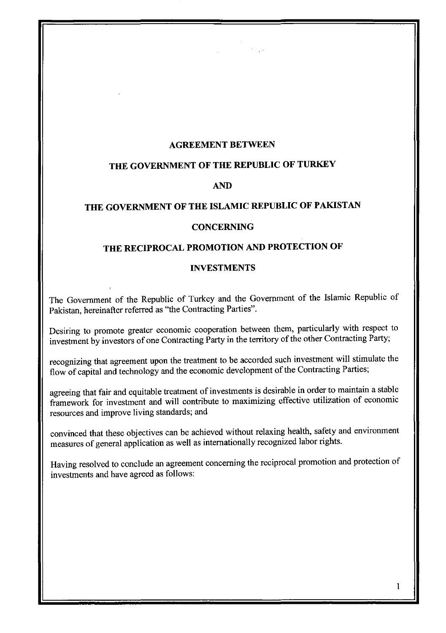#### AGREEMENT BETWEEN

مكريات

## **THE GOVERNMENT OF THE REPUBLIC OF TURKEY**

## **AND**

# **THE GOVERNMENT OF THE ISLAMIC REPUBLIC OF PAKISTAN**

#### **CONCERNING**

## **THE RECIPROCAL PROMOTION AND PROTECTION OF**

#### **INVESTMENTS**

The Government of the Republic of Turkey and the Government of the Islamic Republic of Pakistan, hereinafter referred as "the Contracting Parties".

Desiring to promote greater economic cooperation between them, particularly with respect to investment by investors of one Contracting Party in the territory of the other Contracting Party;

recognizing that agreement upon the treatment to be accorded such investment will stimulate the flow of capital and technology and the economic development of the Contracting Parties;

agreeing that fair and equitable treatment of investments is desirable in order to maintain a stable framework for investment and will contribute to maximizing effective utilization of economic resources and improve living standards; and

convinced that these objectives can be achieved without relaxing health, safety and environment measures of general application as well as internationally recognized labor rights.

Having resolved to conclude an agreement concerning the reciprocal promotion and protection of investments and have agreed as follows: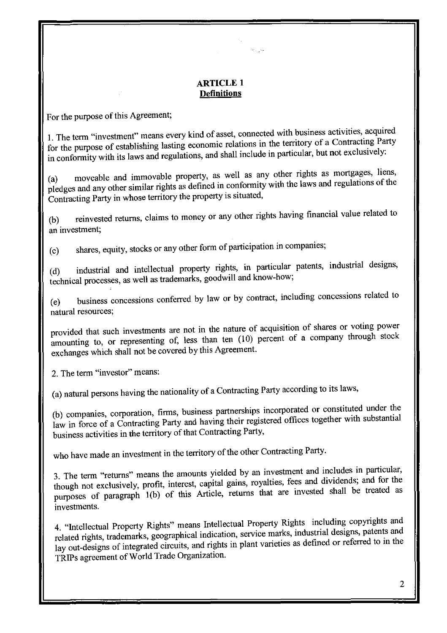## **ARTICLE 1 Definitions**

متريدته

For the purpose of this Agreement;

I. The term "investment" means every kind of asset, connected with business activities, acquired for the purpose of establishing lasting economic relations in the territory of a Contracting Party in conformity with its laws and regulations, and shall include in particular, but not exclusively:

(a) moveable and immovable property, as well as any other rights as mortgages, liens, pledges and any other similar rights as defined in conformity with the laws and regulations of the Contracting Party in whose territory the property is situated,

(b) reinvested returns, claims to money or any other rights having financial value related to an investment;

(c) shares, equity, stocks or any other form of participation in companies;

(d) industrial and intellectual property rights, in particular patents, industrial designs, technical processes, as well as trademarks, goodwill and know-how;

(e) business concessions conferred by law or by contract, including concessions related to natural resources;

provided that such investments are not in the nature of acquisition of shares or voting power amounting to, or representing of, less than ten (10) percent of a company through stock exchanges which shall not be covered by this Agreement.

2. The term "investor" means:

(a) natural persons having the nationality of a Contracting Party according to its laws,

(b) companies, corporation, firms, business partnerships incorporated or constituted under the law in force of a Contracting Party and having their registered offices together with substantial business activities in the territory of that Contracting Party,

who have made an investment in the territory of the other Contracting Party.

3. The term "returns" means the amounts yielded by an investment and includes in particular, though not exclusively, profit, interest, capital gains, royalties, fees and dividends; and for the purposes of paragraph 1(b) of this Article, returns that are invested shall be treated as investments.

4. "Intellectual Property Rights" means Intellectual Property Rights including copyrights and related rights, trademarks, geographical indication, service marks, industrial designs, patents and lay out-designs of integrated circuits, and rights in plant varieties as defined or referred to in the TRIPs agreement of World Trade Organization.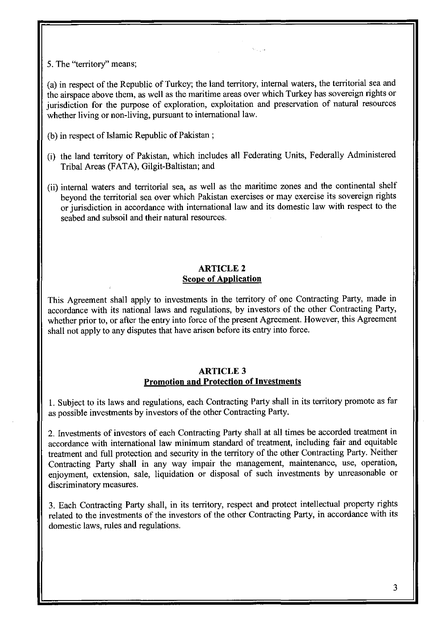5. The "territory" means;

(a) in respect of the Republic of Turkey; the land territory, internal waters, the territorial sea and the airspace above them, as well as the maritime areas over which Turkey has sovereign rights or jurisdiction for the purpose of exploration, exploitation and preservation of natural resources whether living or non-living, pursuant to international law.

No. La

- $(b)$  in respect of Islamic Republic of Pakistan;
- (i) the land territory of Pakistan, which includes all Federating Units, Federally Administered Tribal Areas (FATA), Gilgit-Baltistan; and
- (ii) internal waters and territorial sea, as well as the maritime zones and the continental shelf beyond the territorial sea over which Pakistan exercises or may exercise its sovereign rights or jurisdiction in accordance with international law and its domestic law with respect to the seabed and subsoil and their natural resources.

## ARTICLE 2 **Scope of Application**

This Agreement shall apply to investments in the territory of one Contracting Party, made in accordance with its national laws and regulations, by investors of the other Contracting Party, whether prior to, or after the entry into force of the present Agreement. However, this Agreement shall not apply to any disputes that have arisen before its entry into force.

#### ARTICLE 3 **Promotion and Protection of Investments**

I. Subject to its laws and regulations, each Contracting Party shall in its territory promote as far as possible investments by investors of the other Contracting Party.

2. Investments of investors of each Contracting Party shall at all times be accorded treatment in accordance with international law minimum standard of treatment, including fair and equitable treatment and **full** protection and security in the territory of the other Contracting Party. Neither Contracting Party shall in any way impair the management, maintenance, use, operation, enjoyment, extension, sale, liquidation or disposal of such investments by unreasonable or discriminatory measures.

3. Each Contracting Party shall, in its territory, respect and protect intellectual property rights related to the investments of the investors of the other Contracting Party, in accordance with its domestic laws, rules and regulations.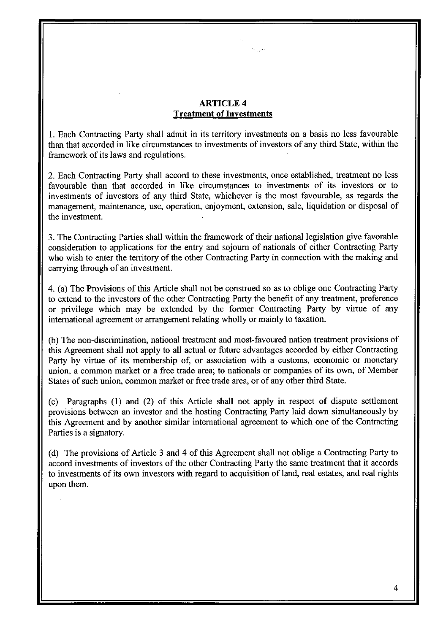## ARTICLE 4 **Treatment of Investments**

Story Sea

I. Each Contracting Party shall admit **in** its territory investments on a basis no less favourable than that accorded **in** like circumstances to investments of investors of any third State, within the framework of its laws and regulations.

2. Each Contracting Party shall accord to these investments, once established, treatment no less favourable than that accorded in like circumstances to investments of its investors or to investments of investors of any third State, whichever is the most favourable, as regards the management, maintenance, use, operation, enjoyment, extension, sale, liquidation or disposal of the investment.

3. The Contracting Parties shall within the framework of their national legislation give favorable consideration to applications for the entry and sojourn of nationals of either Contracting Party who wish to enter the territory of the other Contracting Party in connection with the making and carrying through of an investment.

4. (a) The Provisions of this Article shall not be construed so as to oblige one Contracting Party to extend to the investors of the other Contracting Party the benefit of any treatment, preference or privilege which may be extended by the former Contracting Party by virtue of any international agreement or arrangement relating wholly or mainly to taxation.

(b) The non-discrimination, national treatment and most-favoured nation treatment provisions of this Agreement shall not apply to all actual or future advantages accorded by either Contracting Party by virtue of its membership of, or association with a customs, economic or monetary union, a common market or a free trade area; to nationals or companies of its own, of Member States of such union, common market or free trade area, or of any other third State.

(c) Paragraphs (I) and (2) of this Article shall not apply in respect of dispute settlement provisions between an investor and the hosting Contracting Party laid down simultaneously by this Agreement and by another similar international agreement to which one of the Contracting Parties is a signatory.

(d) The provisions of Article 3 and 4 of this Agreement shall not oblige a Contracting Party to accord investments of investors of the other Contracting Party the same treatment that it accords to investments of its own investors with regard to acquisition of land, real estates, and real rights upon them.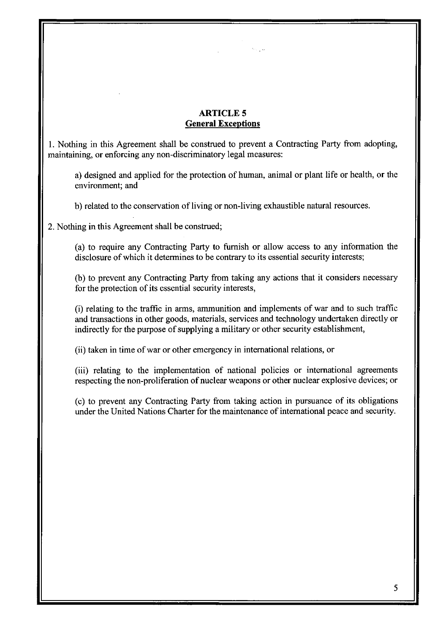# **ARTICLES General Exceptions**

مدريته

I. Nothing in this Agreement shall be construed to prevent a Contracting Party from adopting, maintaining, or enforcing any non-discriminatory legal measures:

a) designed and applied for the protection of human, animal or plant life or health, or the environment; and

b) related to the conservation of living or non-living exhaustible natural resources.

2. Nothing in this Agreement shall be construed;

(a) to require any Contracting Party to furnish or allow access to any information the disclosure of which it determines to be contrary to its essential security interests;

(b) to prevent any Contracting Party from taking any actions that it considers necessary for the protection of its essential security interests,

(i) relating to the traffic in arms, ammunition and implements of war and to such traffic and transactions in other goods, materials, services and technology undertaken directly or indirectly for the purpose of supplying a military or other security establishment,

(ii) taken in time of war or other emergency in international relations, or

(iii) relating to the implementation of national policies or international agreements respecting the non-proliferation of nuclear weapons or other nuclear explosive devices; or

(c) to prevent any Contracting Party from taking action in pursuance of its obligations under the United Nations Charter for the maintenance of international peace and security.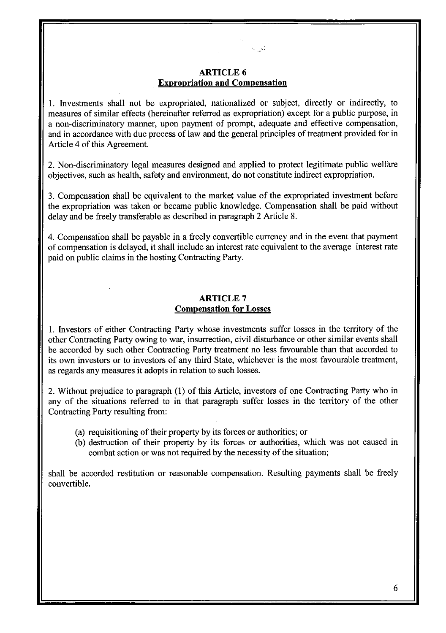#### ARTICLE 6 **Expropriation and Compensation**

للمريدة

1. Investments shall not be expropriated, nationalized or subject, directly or indirectly, to measures of similar effects (hereinafter referred as expropriation) except for a public purpose, in a non-discriminatory manner, upon payment of prompt, adequate and effective compensation, and in accordance with due process of law and the general principles of treatment provided for in Article 4 of this Agreement.

2. Non-discriminatory legal measures designed and applied to protect legitimate public welfare objectives, such as health, safety and environment, do not constitute indirect expropriation.

3. Compensation shall be equivalent to the market value of the expropriated investment before the expropriation was taken or became public knowledge. Compensation shall be paid without delay and be freely transferable as described in paragraph 2 Article 8.

4. Compensation shall be payable in a freely convertible currency and in the event that payment of compensation is delayed, it shall include an interest rate equivalent to the average interest rate paid on public claims in the hosting Contracting Party.

#### ARTICLE 7 **Compensation for Losses**

1. Investors of either Contracting Party whose investments suffer losses in the territory of the other Contracting Party owing to war, insurrection, civil disturbance or other similar events shall be accorded by such other Contracting Party treatment no less favourable than that accorded to its own investors or to investors of any third State, whichever is the most favourable treatment, as regards any measures it adopts in relation to such losses.

2. Without prejudice to paragraph (1) of this Article, investors of one Contracting Party who in any of the situations referred to in that paragraph suffer losses in the territory of the other Contracting Party resulting from:

- (a) requisitioning of their property by its forces or authorities; or
- (b) destruction of their property by its forces or authorities, which was not caused in combat action or was not required by the necessity of the situation;

shall be accorded restitution or reasonable compensation. Resulting payments shall be freely convertible.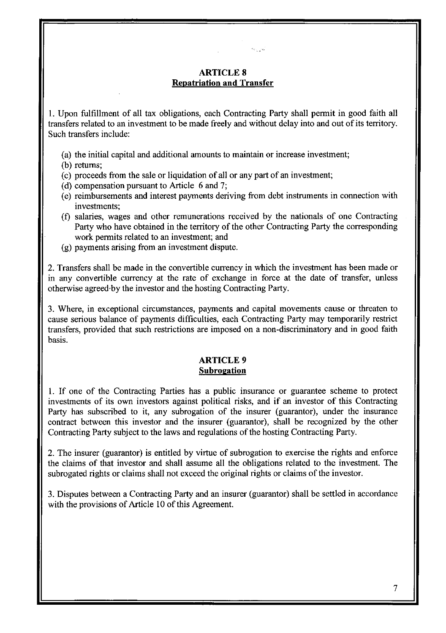## **ARTICLES Repatriation and Transfer**

أربابهم والمح

1. Upon fulfillment of all tax obligations, each Contracting Party shall permit **in** good faith all transfers related to an investment to be made freely and without delay into and out of its territory. Such transfers include:

- (a) the initial capital and additional amounts to maintain or increase investment;
- (b) returns;
- (c) proceeds from the sale or liquidation of all or any part of an investment;
- (d) compensation pursuant to Article 6 and 7;
- (e) reimbursements and interest payments deriving from debt instruments **in** connection with investments;
- (f) salaries, wages and other remunerations received by the nationals of one Contracting Party who have obtained in the territory of the other Contracting Party the corresponding work permits related to an investment; and
- (g) payments arising from an investment dispute.

2. Transfers shall be made in the convertible currency in which the investment has been made or in any convertible currency at the rate of exchange in force at the date of transfer, unless otherwise agreed'by the investor and the hosting Contracting Party.

3. Where, in exceptional circumstances, payments and capital movements cause or threaten to cause serious balance of payments difficulties, each Contracting Party may temporarily restrict transfers, provided that such restrictions are imposed on a non-discriminatory and in good faith basis.

#### ARTICLE 9 **Subrogation**

I. If one of the Contracting Parties has a public insurance or guarantee scheme to protect investments of its own investors against political risks, and if an investor of this Contracting Party has subscribed to it, any subrogation of the insurer (guarantor), under the insurance contract between this investor and the insurer (guarantor), shall be recognized by the other Contracting Party subject to the laws and regulations of the hosting Contracting Party.

2. The insurer (guarantor) is entitled by virtue of subrogation to exercise the rights and enforce the claims of that investor and shall assume all the obligations related to the investment. The subrogated rights or claims shall not exceed the original rights or claims of the investor.

3. Disputes between a Contracting Party and an insurer (guarantor) shall be settled in accordance with the provisions of Article 10 of this Agreement.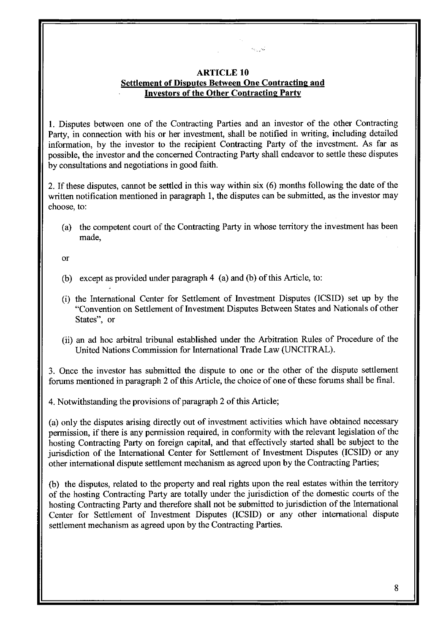## ARTICLE 10 Settlement of Disputes Between One Contracting and Investors of the Other Contracting Party

 $\gamma_{\rm max} \alpha_s^2$ 

I. Disputes between one of the Contracting Parties and an investor of the other Contracting Party, in connection with his or her investment, shall be notified in writing, including detailed information, by the investor to the recipient Contracting Party of the investment. As far as possible, the investor and the concerned Contracting Party shall endeavor to settle these disputes by consultations and negotiations in good faith.

2. If these disputes, cannot be settled in this way within six (6) months following the date of the written notification mentioned in paragraph 1, the disputes can be submitted, as the investor may choose, to:

(a) the competent court of the Contracting Party in whose territory the investment has been made,

or

- (b) except as provided under paragraph 4 (a) and (b) of this Article, to:
- (i) the International Center for Settlement of Investment Disputes (ICSID) set up by the "Convention on Settlement of Investment Disputes Between States and Nationals of other States", or
- (ii) an ad hoc arbitral tribunal established under the Arbitration Rules of Procedure of the United Nations Commission for International Trade Law (UNCITRAL).

3. Once the investor has submitted the dispute to one or the other of the dispute settlement forums mentioned in paragraph 2 of this Article, the choice of one of these forums shall be final.

4. Notwithstanding the provisions of paragraph 2 of this Article;

(a) only the disputes arising directly out of investment activities which have obtained necessary permission, if there is any permission required, in conformity with the relevant legislation of the hosting Contracting Party on foreign capital, and that effectively started shall be subject to the jurisdiction of the International Center for Settlement of Investment Disputes (ICSID) or any other international dispute settlement mechanism as agreed upon by the Contracting Parties;

(b) the disputes, related to the property and real rights upon the real estates within the territory of the hosting Contracting Party are totally under the jurisdiction of the domestic courts of the hosting Contracting Party and therefore shall not be submitted to jurisdiction of the International Center for Settlement of Investment Disputes (ICSID) or any other international dispute settlement mechanism as agreed upon by the Contracting Parties.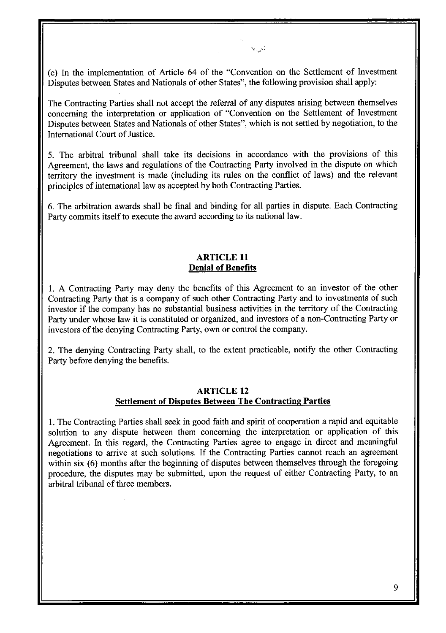(c) In the implementation of Article 64 of the "Convention on the Settlement of Investment Disputes between States and Nationals of other States", the following provision shall apply:

تسميدون

The Contracting Parties shall not accept the referral of any disputes arising between themselves concerning the interpretation or application of "Convention on the Settlement of Investment Disputes between States and Nationals of other States", which is not settled by negotiation, to the International Court of Justice.

5. The arbitral tribunal shall take its decisions in accordance with the provisions of this Agreement, the laws and regulations of the Contracting Party involved in the dispute on which territory the investment is made (including its rules on the conflict of laws) and the relevant principles of international law as accepted by both Contracting Parties.

6. The arbitration awards shall be final and binding for all parties in dispute. Each Contracting Party commits itself to execute the award according to its national law .

#### **ARTICLE 11 Denial of Benefits**

1. A Contracting Party may deny the benefits of this Agreement to an investor of the other Contracting Party that is a company of such other Contracting Party and to investments of such investor if the company has no substantial business activities in the territory of the Contracting Party under whose law it is constituted or organized, and investors of a non-Contracting Party or investors of the denying Contracting Party, own or control the company.

2. The denying Contracting Party shall, to the extent practicable, notify the other Contracting Party before denying the benefits.

#### **ARTICLE 12 Settlement of Disputes Between The Contracting Parties**

1. The Contracting Parties shall seek in good faith and spirit of cooperation a rapid and equitable solution to any dispute between them concerning the interpretation or application of this Agreement. In this regard, the Contracting Parties agree to engage in direct and meaningful negotiations to arrive at such solutions. If the Contracting Parties cannot reach an agreement within six (6) months after the beginning of disputes between themselves through the foregoing procedure, the disputes may be submitted, upon the request of either Contracting Party, to an arbitral tribunal of three members.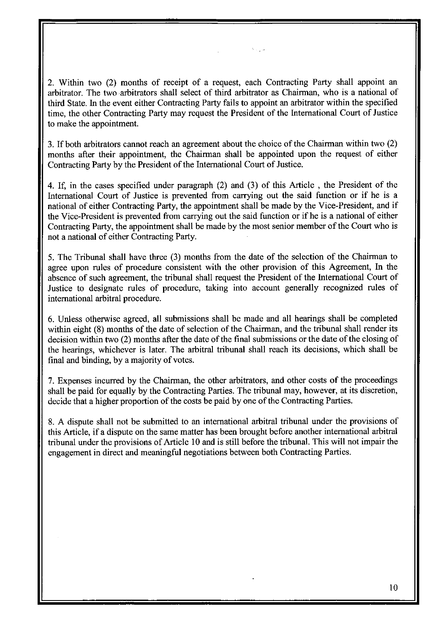2. Within two (2) months of receipt of a request, each Contracting Party shall appoint an arbitrator. The two arbitrators shall select of third arbitrator as Chairman, who is a national of third State. In the event either Contracting Party fails to appoint an arbitrator within the specified time, the other Contracting Party may request the President of the International Court of Justice to make the appointment.

3. If both arbitrators cannot reach an agreement about the choice of the Chairman within two (2) months after their appointment, the Chairman shall be appointed upon the request of either Contracting Party by the President of the International Court of Justice.

4. If, in the cases specified under paragraph (2) and (3) of this Article, the President of the International Court of Justice is prevented from carrying out the said function or if he is a national of either Contracting Party, the appointment shall be made by the Vice-President, and if the Vice-President is prevented from carrying out the said function or if he is a national of either Contracting Party, the appointment shall be made by the most senior member of the Court who is not a national of either Contracting Party.

5. The Tribunal shall have three (3) months from the date of the selection of the Chairman to agree upon rules of procedure consistent with the other provision of this Agreement, In the absence of such agreement, the tribunal shall request the President of the International Court of Justice to designate rules of procedure, taking into account generally recognized rules of international arbitral procedure.

6. Unless otherwise agreed, all submissions shall be made and all hearings shall be completed within eight (8) months of the date of selection of the Chairman, and the tribunal shall render its decision within two (2) months after the date of the final submissions or the date of the closing of the hearings, whichever is later. The arbitral tribunal shall reach its decisions, which shall be final and binding, by a majority of votes.

7. Expenses incurred by the Chairman, the other arbitrators, and other costs of the proceedings shall be paid for equally by the Contracting Parties. The tribunal may, however, at its discretion, decide that a higher proportion of the costs be paid by one of the Contracting Parties.

8. A dispute shall not be submitted to an international arbitral tribunal under the provisions of this Article, if a dispute on the same matter has been brought before another international arbitral tribunal under the provisions of Article 10 and is still before the tribunal. This will not impair the engagement in direct and meaningful negotiations between both Contracting Parties.